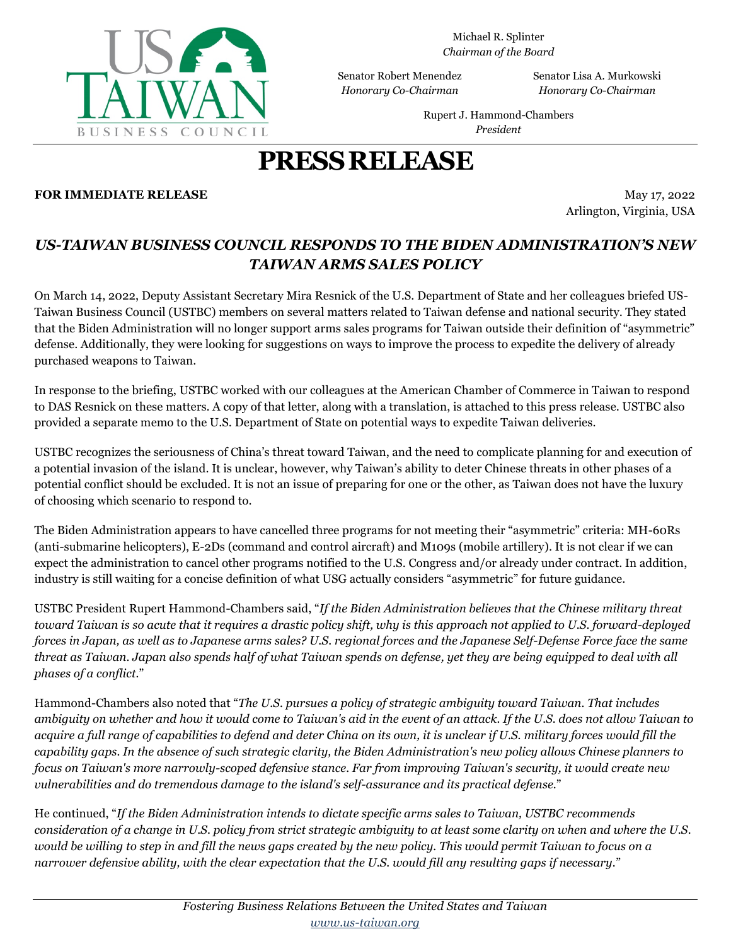

Michael R. Splinter *Chairman of the Board*

Senator Robert Menendez *Honorary Co-Chairman*

Senator Lisa A. Murkowski *Honorary Co-Chairman*

Rupert J. Hammond-Chambers *President*

# **PRESSRELEASE**

#### **FOR IMMEDIATE RELEASE** May 17, 2022

Arlington, Virginia, USA

### *US-TAIWAN BUSINESS COUNCIL RESPONDS TO THE BIDEN ADMINISTRATION'S NEW TAIWAN ARMS SALES POLICY*

On March 14, 2022, Deputy Assistant Secretary Mira Resnick of the U.S. Department of State and her colleagues briefed US-Taiwan Business Council (USTBC) members on several matters related to Taiwan defense and national security. They stated that the Biden Administration will no longer support arms sales programs for Taiwan outside their definition of "asymmetric" defense. Additionally, they were looking for suggestions on ways to improve the process to expedite the delivery of already purchased weapons to Taiwan.

In response to the briefing, USTBC worked with our colleagues at the American Chamber of Commerce in Taiwan to respond to DAS Resnick on these matters. A copy of that letter, along with a translation, is attached to this press release. USTBC also provided a separate memo to the U.S. Department of State on potential ways to expedite Taiwan deliveries.

USTBC recognizes the seriousness of China's threat toward Taiwan, and the need to complicate planning for and execution of a potential invasion of the island. It is unclear, however, why Taiwan's ability to deter Chinese threats in other phases of a potential conflict should be excluded. It is not an issue of preparing for one or the other, as Taiwan does not have the luxury of choosing which scenario to respond to.

The Biden Administration appears to have cancelled three programs for not meeting their "asymmetric" criteria: MH-60Rs (anti-submarine helicopters), E-2Ds (command and control aircraft) and M109s (mobile artillery). It is not clear if we can expect the administration to cancel other programs notified to the U.S. Congress and/or already under contract. In addition, industry is still waiting for a concise definition of what USG actually considers "asymmetric" for future guidance.

USTBC President Rupert Hammond-Chambers said, "*If the Biden Administration believes that the Chinese military threat toward Taiwan is so acute that it requires a drastic policy shift, why is this approach not applied to U.S. forward-deployed forces in Japan, as well as to Japanese arms sales? U.S. regional forces and the Japanese Self-Defense Force face the same threat as Taiwan. Japan also spends half of what Taiwan spends on defense, yet they are being equipped to deal with all phases of a conflict.*"

Hammond-Chambers also noted that "*The U.S. pursues a policy of strategic ambiguity toward Taiwan. That includes ambiguity on whether and how it would come to Taiwan's aid in the event of an attack. If the U.S. does not allow Taiwan to acquire a full range of capabilities to defend and deter China on its own, it is unclear if U.S. military forces would fill the capability gaps. In the absence of such strategic clarity, the Biden Administration's new policy allows Chinese planners to focus on Taiwan's more narrowly-scoped defensive stance. Far from improving Taiwan's security, it would create new vulnerabilities and do tremendous damage to the island's self-assurance and its practical defense.*"

He continued, "*If the Biden Administration intends to dictate specific arms sales to Taiwan, USTBC recommends consideration of a change in U.S. policy from strict strategic ambiguity to at least some clarity on when and where the U.S. would be willing to step in and fill the news gaps created by the new policy. This would permit Taiwan to focus on a narrower defensive ability, with the clear expectation that the U.S. would fill any resulting gaps if necessary.*"